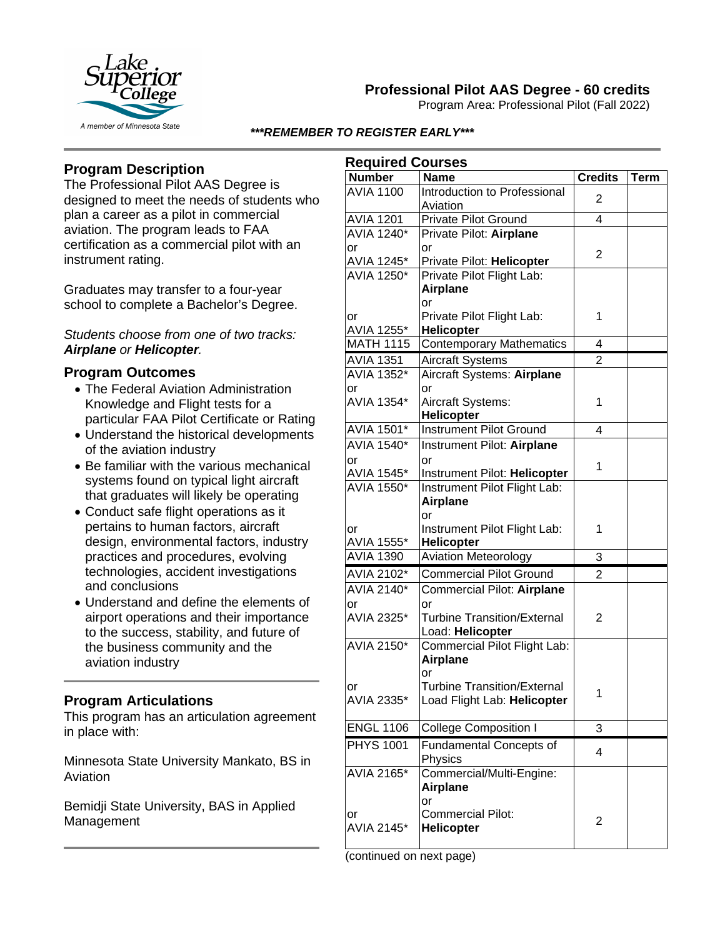

# **Professional Pilot AAS Degree - 60 credits**

Program Area: Professional Pilot (Fall 2022)

#### *\*\*\*REMEMBER TO REGISTER EARLY\*\*\**

## **Program Description**

The Professional Pilot AAS Degree is designed to meet the needs of students who plan a career as a pilot in commercial aviation. The program leads to FAA certification as a commercial pilot with an instrument rating.

Graduates may transfer to a four-year school to complete a Bachelor's Degree.

#### *Students choose from one of two tracks: Airplane or Helicopter.*

### **Program Outcomes**

- The Federal Aviation Administration Knowledge and Flight tests for a particular FAA Pilot Certificate or Rating
- Understand the historical developments of the aviation industry
- Be familiar with the various mechanical systems found on typical light aircraft that graduates will likely be operating
- Conduct safe flight operations as it pertains to human factors, aircraft design, environmental factors, industry practices and procedures, evolving technologies, accident investigations and conclusions
- Understand and define the elements of airport operations and their importance to the success, stability, and future of the business community and the aviation industry

### **Program Articulations**

This program has an articulation agreement in place with:

Minnesota State University Mankato, BS in Aviation

Bemidji State University, BAS in Applied Management

| <b>Required Courses</b>         |                                                        |                |             |  |
|---------------------------------|--------------------------------------------------------|----------------|-------------|--|
| <b>Number</b>                   | <b>Name</b>                                            | <b>Credits</b> | <b>Term</b> |  |
| <b>AVIA 1100</b>                | Introduction to Professional                           | 2              |             |  |
|                                 | Aviation                                               |                |             |  |
| <b>AVIA 1201</b>                | <b>Private Pilot Ground</b>                            | 4              |             |  |
| <b>AVIA 1240*</b>               | Private Pilot: Airplane                                |                |             |  |
| or                              | or                                                     | $\overline{2}$ |             |  |
| AVIA 1245*<br><b>AVIA 1250*</b> | Private Pilot: Helicopter                              |                |             |  |
|                                 | Private Pilot Flight Lab:                              |                |             |  |
|                                 | <b>Airplane</b>                                        |                |             |  |
|                                 | or<br>Private Pilot Flight Lab:                        | 1              |             |  |
| or<br>AVIA 1255*                | Helicopter                                             |                |             |  |
| <b>MATH 1115</b>                | <b>Contemporary Mathematics</b>                        | 4              |             |  |
|                                 |                                                        |                |             |  |
| <b>AVIA 1351</b>                | <b>Aircraft Systems</b>                                | $\overline{2}$ |             |  |
| AVIA 1352*                      | Aircraft Systems: Airplane                             |                |             |  |
| or<br>AVIA 1354*                | or                                                     | 1              |             |  |
|                                 | Aircraft Systems:<br>Helicopter                        |                |             |  |
|                                 | <b>Instrument Pilot Ground</b>                         |                |             |  |
| AVIA 1501*                      |                                                        | 4              |             |  |
| <b>AVIA 1540*</b>               | Instrument Pilot: Airplane                             |                |             |  |
| or                              | or                                                     | 1              |             |  |
| AVIA 1545*<br><b>AVIA 1550*</b> | Instrument Pilot: Helicopter                           |                |             |  |
|                                 | Instrument Pilot Flight Lab:<br><b>Airplane</b>        |                |             |  |
|                                 | or                                                     |                |             |  |
| or                              | Instrument Pilot Flight Lab:                           | 1              |             |  |
| AVIA 1555*                      | Helicopter                                             |                |             |  |
| <b>AVIA 1390</b>                | <b>Aviation Meteorology</b>                            | 3              |             |  |
| AVIA 2102*                      | <b>Commercial Pilot Ground</b>                         | $\overline{2}$ |             |  |
| <b>AVIA 2140*</b>               |                                                        |                |             |  |
|                                 | Commercial Pilot: Airplane                             |                |             |  |
| or<br>AVIA 2325*                | or                                                     | $\overline{2}$ |             |  |
|                                 | <b>Turbine Transition/External</b><br>Load: Helicopter |                |             |  |
| <b>AVIA 2150*</b>               | Commercial Pilot Flight Lab:                           |                |             |  |
|                                 | <b>Airplane</b>                                        |                |             |  |
|                                 | or                                                     |                |             |  |
| Ωr                              | <b>Turbine Transition/External</b>                     |                |             |  |
| AVIA 2335*                      | Load Flight Lab: Helicopter                            | 1              |             |  |
|                                 |                                                        |                |             |  |
| <b>ENGL 1106</b>                | <b>College Composition I</b>                           | 3              |             |  |
| <b>PHYS 1001</b>                | <b>Fundamental Concepts of</b>                         | 4              |             |  |
|                                 | Physics                                                |                |             |  |
| AVIA 2165*                      | Commercial/Multi-Engine:                               |                |             |  |
|                                 | <b>Airplane</b>                                        |                |             |  |
|                                 | or                                                     |                |             |  |
| or                              | <b>Commercial Pilot:</b>                               | 2              |             |  |
| AVIA 2145*                      | <b>Helicopter</b>                                      |                |             |  |
|                                 |                                                        |                |             |  |

(continued on next page)